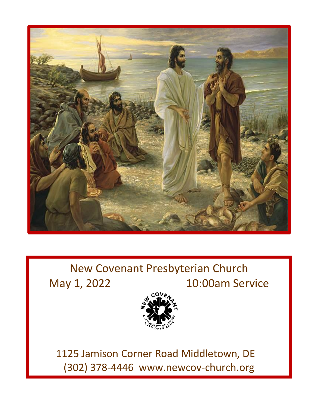

New Covenant Presbyterian Church May 1, 2022 10:00am Service



 1125 Jamison Corner Road Middletown, DE (302) 378-4446 www.newcov-church.org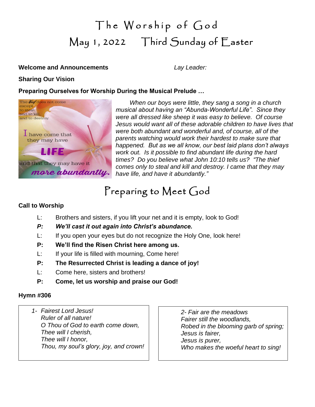# The Worship of God May 1, 2022 Third Sunday of Easter

### **Welcome and Announcements** *Lay Leader:*

### **Sharing Our Vision**

### **Preparing Ourselves for Worship During the Musical Prelude …**



*When our boys were little, they sang a song in a church musical about having an "Abunda-Wonderful Life". Since they were all dressed like sheep it was easy to believe. Of course Jesus would want all of these adorable children to have lives that were both abundant and wonderful and, of course, all of the parents watching would work their hardest to make sure that happened. But as we all know, our best laid plans don't always work out. Is it possible to find abundant life during the hard times? Do you believe what John 10:10 tells us? "The thief comes only to steal and kill and destroy. I came that they may have life, and have it abundantly."*

## Preparing to Meet God

### **Call to Worship**

- L: Brothers and sisters, if you lift your net and it is empty, look to God!
- *P: We'll cast it out again into Christ's abundance.*
- L: If you open your eyes but do not recognize the Holy One, look here!
- **P: We'll find the Risen Christ here among us.**
- L: If your life is filled with mourning, Come here!
- **P: The Resurrected Christ is leading a dance of joy!**
- L: Come here, sisters and brothers!
- **P: Come, let us worship and praise our God!**

#### **Hymn #306**

*1- Fairest Lord Jesus! Ruler of all nature! O Thou of God to earth come down, Thee will I cherish, Thee will I honor, Thou, my soul's glory, joy, and crown!*

*2- Fair are the meadows Fairer still the woodlands, Robed in the blooming garb of spring; Jesus is fairer, Jesus is purer, Who makes the woeful heart to sing!*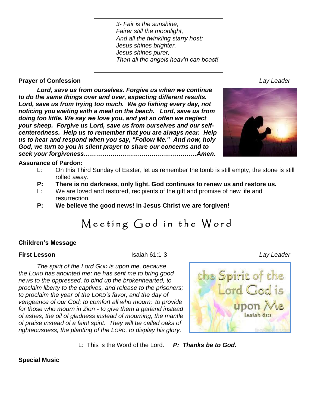*3- Fair is the sunshine, Fairer still the moonlight, And all the twinkling starry host; Jesus shines brighter, Jesus shines purer, Than all the angels heav'n can boast!* 

#### **Prayer of Confession** *Lay Leader*

*Lord, save us from ourselves. Forgive us when we continue to do the same things over and over, expecting different results. Lord, save us from trying too much. We go fishing every day, not noticing you waiting with a meal on the beach. Lord, save us from doing too little. We say we love you, and yet so often we neglect your sheep. Forgive us Lord, save us from ourselves and our selfcenteredness. Help us to remember that you are always near. Help us to hear and respond when you say, "Follow Me." And now, holy God, we turn to you in silent prayer to share our concerns and to seek your forgiveness……………………………………………….Amen.*

**Assurance of Pardon:**

- L: On this Third Sunday of Easter, let us remember the tomb is still empty, the stone is still rolled away.
- **P: There is no darkness, only light. God continues to renew us and restore us.**
- L: We are loved and restored, recipients of the gift and promise of new life and resurrection.
- **P: We believe the good news! In Jesus Christ we are forgiven!**

## Meeting God in the Word

#### **Children's Message**

#### **First Lesson** Isaiah 61:1-3 *Lay Leader*

*The spirit of the Lord GOD is upon me, because the LORD has anointed me; he has sent me to bring good news to the oppressed, to bind up the brokenhearted, to proclaim liberty to the captives, and release to the prisoners; to proclaim the year of the LORD's favor, and the day of vengeance of our God; to comfort all who mourn; to provide for those who mourn in Zion - to give them a garland instead of ashes, the oil of gladness instead of mourning, the mantle of praise instead of a faint spirit. They will be called oaks of righteousness, the planting of the LORD, to display his glory.*



L: This is the Word of the Lord. *P: Thanks be to God.*

#### **Special Music**

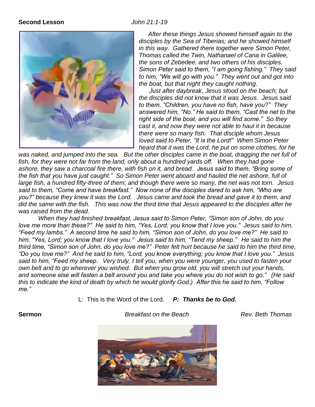#### **Second Lesson** *John 21:1-19*



*After these things Jesus showed himself again to the disciples by the Sea of Tiberias; and he showed himself in this way. Gathered there together were Simon Peter, Thomas called the Twin, Nathanael of Cana in Galilee, the sons of Zebedee, and two others of his disciples. Simon Peter said to them, "I am going fishing." They said to him, "We will go with you." They went out and got into the boat, but that night they caught nothing.*

*Just after daybreak, Jesus stood on the beach; but the disciples did not know that it was Jesus. Jesus said to them, "Children, you have no fish, have you?" They answered him, "No." He said to them, "Cast the net to the right side of the boat, and you will find some." So they cast it, and now they were not able to haul it in because there were so many fish. That disciple whom Jesus loved said to Peter, "It is the Lord!" When Simon Peter heard that it was the Lord, he put on some clothes, for he* 

*was naked, and jumped into the sea. But the other disciples came in the boat, dragging the net full of fish, for they were not far from the land, only about a hundred yards off. When they had gone ashore, they saw a charcoal fire there, with fish on it, and bread. Jesus said to them, "Bring some of the fish that you have just caught." So Simon Peter went aboard and hauled the net ashore, full of large fish, a hundred fifty-three of them; and though there were so many, the net was not torn. Jesus said to them, "Come and have breakfast." Now none of the disciples dared to ask him, "Who are you?" because they knew it was the Lord. Jesus came and took the bread and gave it to them, and did the same with the fish. This was now the third time that Jesus appeared to the disciples after he was raised from the dead.*

*When they had finished breakfast, Jesus said to Simon Peter, "Simon son of John, do you love me more than these?" He said to him, "Yes, Lord; you know that I love you." Jesus said to him, "Feed my lambs." A second time he said to him, "Simon son of John, do you love me?" He said to him, "Yes, Lord; you know that I love you." Jesus said to him, "Tend my sheep." He said to him the third time, "Simon son of John, do you love me?" Peter felt hurt because he said to him the third time, "Do you love me?" And he said to him, "Lord, you know everything; you know that I love you." Jesus said to him, "Feed my sheep. Very truly, I tell you, when you were younger, you used to fasten your own belt and to go wherever you wished. But when you grow old, you will stretch out your hands, and someone else will fasten a belt around you and take you where you do not wish to go." (He said this to indicate the kind of death by which he would glorify God.) After this he said to him, "Follow me."*

L: This is the Word of the Lord. *P: Thanks be to God.*

**Sermon** *Breakfast on the Beach Rev. Beth Thomas*

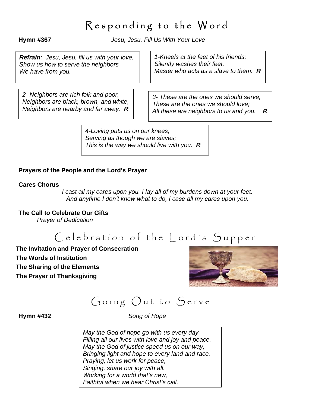## Responding to the Word

**Hymn #367** *Jesu, Jesu, Fill Us With Your Love*

*Refrain: Jesu, Jesu, fill us with your love, Show us how to serve the neighbors We have from you.*

*2- Neighbors are rich folk and poor, Neighbors are black, brown, and white, Neighbors are nearby and far away. R*

*1-Kneels at the feet of his friends; Silently washes their feet, Master who acts as a slave to them. R*

*3- These are the ones we should serve, These are the ones we should love; All these are neighbors to us and you. R*

*4-Loving puts us on our knees, Serving as though we are slaves; This is the way we should live with you. R*

#### **Prayers of the People and the Lord's Prayer**

#### **Cares Chorus**

*I cast all my cares upon you. I lay all of my burdens down at your feet. And anytime I don't know what to do, I case all my cares upon you.*

**The Call to Celebrate Our Gifts**

*Prayer of Dedication*

Celebration of the Lord's Supper

**The Invitation and Prayer of Consecration The Words of Institution The Sharing of the Elements The Prayer of Thanksgiving**



Going Out to Serve

**Hymn #432** *Song of Hope*

*May the God of hope go with us every day, Filling all our lives with love and joy and peace. May the God of justice speed us on our way, Bringing light and hope to every land and race. Praying, let us work for peace, Singing, share our joy with all. Working for a world that's new, Faithful when we hear Christ's call.*